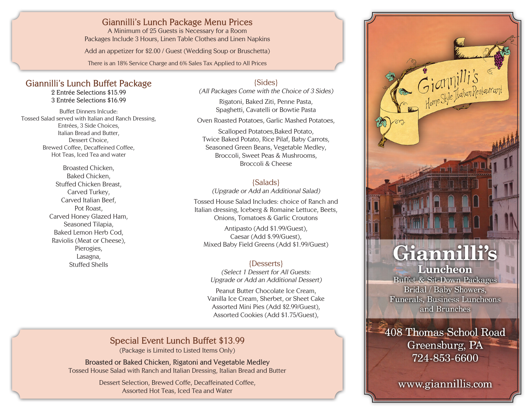## **Giannilli's Lunch Package Menu Prices**

A Minimum of 25 Guests is Necessary for a Room Packages Include 3 Hours, Linen Table Clothes and Linen Napkins

Add an appetizer for \$2.00 / Guest (Wedding Soup or Bruschetta)

There is an 18% Service Charge and 6% Sales Tax Applied to All Prices

#### **Giannilli's Lunch Buffet Package 2 Entrée Selections \$15.99**

**3 Entrée Selections \$16.99**

Buffet Dinners Inlcude: Tossed Salad served with Italian and Ranch Dressing, Entrées, 3 Side Choices, Italian Bread and Butter, Dessert Choice, Brewed Coffee, Decaffeined Coffee, Hot Teas, Iced Tea and water

> Broasted Chicken, Baked Chicken, Stuffed Chicken Breast, Carved Turkey, Carved Italian Beef, Pot Roast, Carved Honey Glazed Ham, Seasoned Tilapia, Baked Lemon Herb Cod, Raviolis (Meat or Cheese), Pierogies, Lasagna, Stuffed Shells

{Sides} (All Packages Come with the Choice of 3 Sides)

Rigatoni, Baked Ziti, Penne Pasta, Spaghetti, Cavatelli or Bowtie Pasta

Oven Roasted Potatoes, Garlic Mashed Potatoes,

Scalloped Potatoes,Baked Potato, Twice Baked Potato, Rice Pilaf, Baby Carrots, Seasoned Green Beans, Vegetable Medley, Broccoli, Sweet Peas & Mushrooms, Broccoli & Cheese

## {Salads}

(Upgrade or Add an Additional Salad)

Tossed House Salad Includes: choice of Ranch and Italian dressing, Iceberg & Romaine Lettuce, Beets, Onions, Tomatoes & Garlic Croutons

Antipasto (Add \$1.99/Guest), Caesar (Add \$.99/Guest), Mixed Baby Field Greens (Add \$1.99/Guest)

## {Desserts}

(Select 1 Dessert for All Guests: Upgrade or Add an Additional Dessert)

Peanut Butter Chocolate Ice Cream, Vanilla Ice Cream, Sherbet, or Sheet Cake Assorted Mini Pies (Add \$2.99/Guest), Assorted Cookies (Add \$1.75/Guest),

# **Special Event Lunch Buffet \$13.99**

(Package is Limited to Listed Items Only)

**Broasted or Baked Chicken, Rigatoni and Vegetable Medley** Tossed House Salad with Ranch and Italian Dressing, Italian Bread and Butter

> Dessert Selection, Brewed Coffe, Decaffeinated Coffee, Assorted Hot Teas, Iced Tea and Water



Buffet & Sit-Down Packages Bridal / Baby Showers, **Funerals, Business Luncheons** and Brunches

-408 Thomas School Road Greensburg, PA 724-853-6600

www.giannillis.com